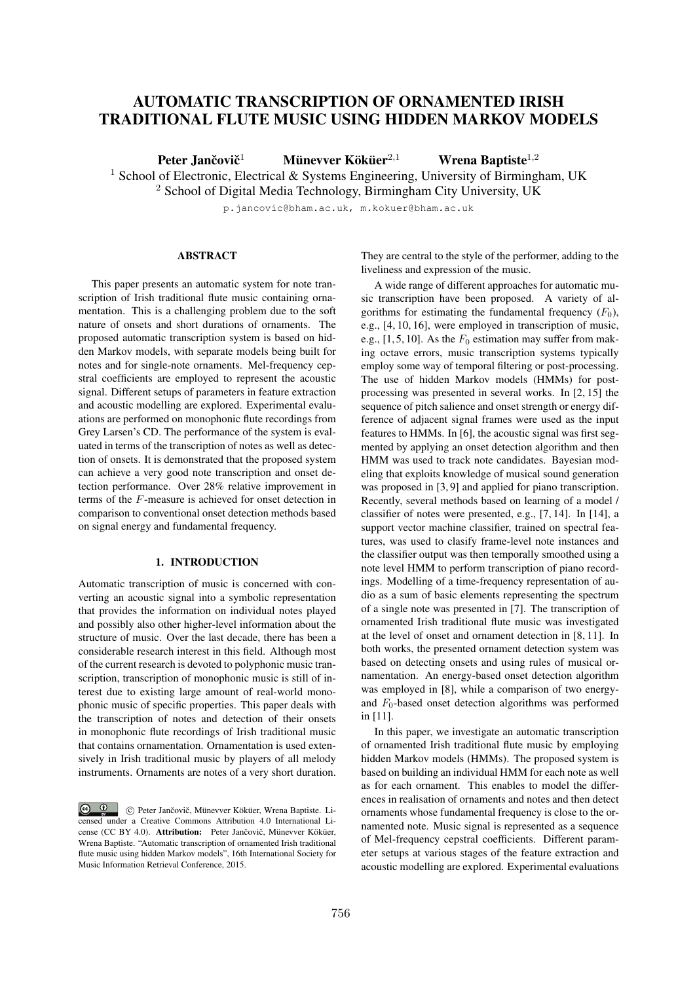# AUTOMATIC TRANSCRIPTION OF ORNAMENTED IRISH TRADITIONAL FLUTE MUSIC USING HIDDEN MARKOV MODELS

Peter Jančovič<sup>1</sup> Münevver Köküer<sup>2,1</sup> Wrena Baptiste<sup>1,2</sup>

<sup>1</sup> School of Electronic, Electrical & Systems Engineering, University of Birmingham, UK

<sup>2</sup> School of Digital Media Technology, Birmingham City University, UK

p.jancovic@bham.ac.uk, m.kokuer@bham.ac.uk

# ABSTRACT

This paper presents an automatic system for note transcription of Irish traditional flute music containing ornamentation. This is a challenging problem due to the soft nature of onsets and short durations of ornaments. The proposed automatic transcription system is based on hidden Markov models, with separate models being built for notes and for single-note ornaments. Mel-frequency cepstral coefficients are employed to represent the acoustic signal. Different setups of parameters in feature extraction and acoustic modelling are explored. Experimental evaluations are performed on monophonic flute recordings from Grey Larsen's CD. The performance of the system is evaluated in terms of the transcription of notes as well as detection of onsets. It is demonstrated that the proposed system can achieve a very good note transcription and onset detection performance. Over 28% relative improvement in terms of the *F*-measure is achieved for onset detection in comparison to conventional onset detection methods based on signal energy and fundamental frequency.

# 1. INTRODUCTION

Automatic transcription of music is concerned with converting an acoustic signal into a symbolic representation that provides the information on individual notes played and possibly also other higher-level information about the structure of music. Over the last decade, there has been a considerable research interest in this field. Although most of the current research is devoted to polyphonic music transcription, transcription of monophonic music is still of interest due to existing large amount of real-world monophonic music of specific properties. This paper deals with the transcription of notes and detection of their onsets in monophonic flute recordings of Irish traditional music that contains ornamentation. Ornamentation is used extensively in Irish traditional music by players of all melody instruments. Ornaments are notes of a very short duration.

They are central to the style of the performer, adding to the liveliness and expression of the music.

A wide range of different approaches for automatic music transcription have been proposed. A variety of algorithms for estimating the fundamental frequency  $(F_0)$ , e.g., [4, 10, 16], were employed in transcription of music, e.g.,  $[1, 5, 10]$ . As the  $F_0$  estimation may suffer from making octave errors, music transcription systems typically employ some way of temporal filtering or post-processing. The use of hidden Markov models (HMMs) for postprocessing was presented in several works. In [2, 15] the sequence of pitch salience and onset strength or energy difference of adjacent signal frames were used as the input features to HMMs. In [6], the acoustic signal was first segmented by applying an onset detection algorithm and then HMM was used to track note candidates. Bayesian modeling that exploits knowledge of musical sound generation was proposed in [3, 9] and applied for piano transcription. Recently, several methods based on learning of a model / classifier of notes were presented, e.g., [7, 14]. In [14], a support vector machine classifier, trained on spectral features, was used to clasify frame-level note instances and the classifier output was then temporally smoothed using a note level HMM to perform transcription of piano recordings. Modelling of a time-frequency representation of audio as a sum of basic elements representing the spectrum of a single note was presented in [7]. The transcription of ornamented Irish traditional flute music was investigated at the level of onset and ornament detection in [8, 11]. In both works, the presented ornament detection system was based on detecting onsets and using rules of musical ornamentation. An energy-based onset detection algorithm was employed in [8], while a comparison of two energyand *F*0-based onset detection algorithms was performed in [11].

In this paper, we investigate an automatic transcription of ornamented Irish traditional flute music by employing hidden Markov models (HMMs). The proposed system is based on building an individual HMM for each note as well as for each ornament. This enables to model the differences in realisation of ornaments and notes and then detect ornaments whose fundamental frequency is close to the ornamented note. Music signal is represented as a sequence of Mel-frequency cepstral coefficients. Different parameter setups at various stages of the feature extraction and acoustic modelling are explored. Experimental evaluations

 $\circ$   $\circ$ C Peter Jančovič, Münevver Köküer, Wrena Baptiste. Licensed under a Creative Commons Attribution 4.0 International License (CC BY 4.0). Attribution: Peter Jančovič, Münevver Köküer, Wrena Baptiste. "Automatic transcription of ornamented Irish traditional flute music using hidden Markov models", 16th International Society for Music Information Retrieval Conference, 2015.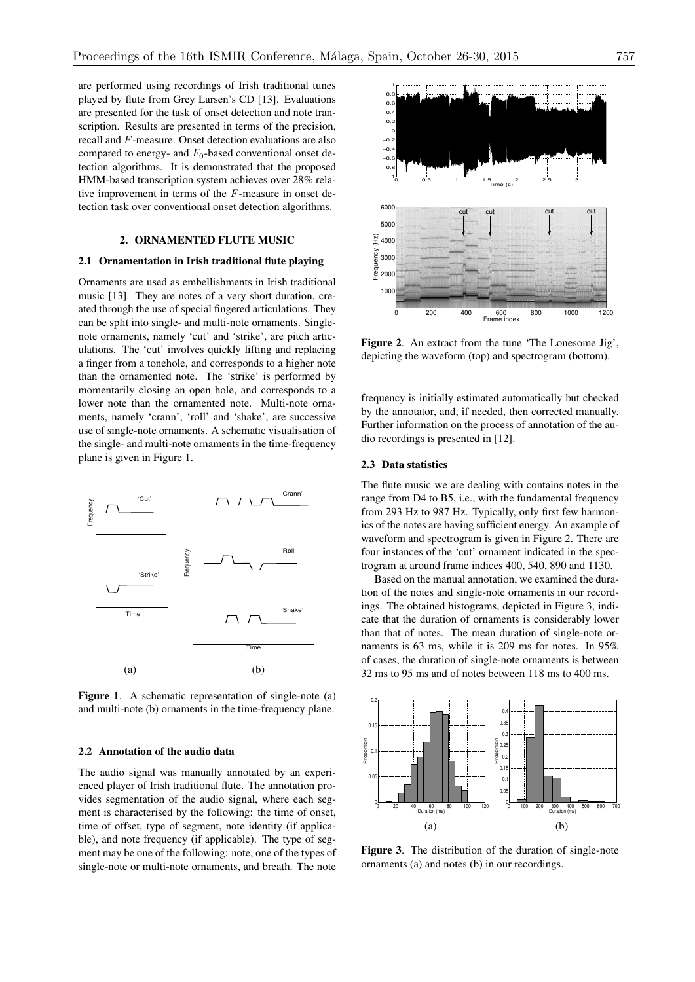are performed using recordings of Irish traditional tunes played by flute from Grey Larsen's CD [13]. Evaluations are presented for the task of onset detection and note transcription. Results are presented in terms of the precision, recall and *F*-measure. Onset detection evaluations are also compared to energy- and  $F_0$ -based conventional onset detection algorithms. It is demonstrated that the proposed HMM-based transcription system achieves over 28% relative improvement in terms of the *F*-measure in onset detection task over conventional onset detection algorithms.

# 2. ORNAMENTED FLUTE MUSIC

#### 2.1 Ornamentation in Irish traditional flute playing

Ornaments are used as embellishments in Irish traditional music [13]. They are notes of a very short duration, created through the use of special fingered articulations. They can be split into single- and multi-note ornaments. Singlenote ornaments, namely 'cut' and 'strike', are pitch articulations. The 'cut' involves quickly lifting and replacing a finger from a tonehole, and corresponds to a higher note than the ornamented note. The 'strike' is performed by momentarily closing an open hole, and corresponds to a lower note than the ornamented note. Multi-note ornaments, namely 'crann', 'roll' and 'shake', are successive use of single-note ornaments. A schematic visualisation of the single- and multi-note ornaments in the time-frequency plane is given in Figure 1.



Figure 1. A schematic representation of single-note (a) and multi-note (b) ornaments in the time-frequency plane.

### 2.2 Annotation of the audio data

The audio signal was manually annotated by an experienced player of Irish traditional flute. The annotation provides segmentation of the audio signal, where each segment is characterised by the following: the time of onset, time of offset, type of segment, note identity (if applicable), and note frequency (if applicable). The type of segment may be one of the following: note, one of the types of single-note or multi-note ornaments, and breath. The note



Figure 2. An extract from the tune 'The Lonesome Jig', depicting the waveform (top) and spectrogram (bottom).

frequency is initially estimated automatically but checked by the annotator, and, if needed, then corrected manually. Further information on the process of annotation of the audio recordings is presented in [12].

### 2.3 Data statistics

The flute music we are dealing with contains notes in the range from D4 to B5, i.e., with the fundamental frequency from 293 Hz to 987 Hz. Typically, only first few harmonics of the notes are having sufficient energy. An example of waveform and spectrogram is given in Figure 2. There are four instances of the 'cut' ornament indicated in the spectrogram at around frame indices 400, 540, 890 and 1130.

Based on the manual annotation, we examined the duration of the notes and single-note ornaments in our recordings. The obtained histograms, depicted in Figure 3, indicate that the duration of ornaments is considerably lower than that of notes. The mean duration of single-note ornaments is 63 ms, while it is 209 ms for notes. In 95% of cases, the duration of single-note ornaments is between 32 ms to 95 ms and of notes between 118 ms to 400 ms.



Figure 3. The distribution of the duration of single-note ornaments (a) and notes (b) in our recordings.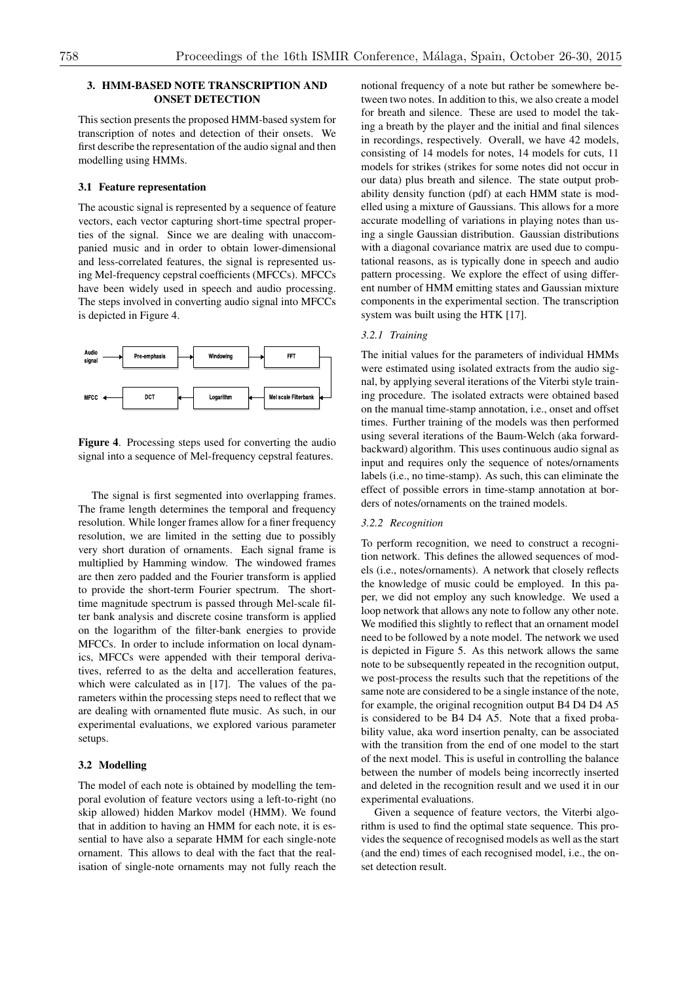# 3. HMM-BASED NOTE TRANSCRIPTION AND ONSET DETECTION

This section presents the proposed HMM-based system for transcription of notes and detection of their onsets. We first describe the representation of the audio signal and then modelling using HMMs.

### 3.1 Feature representation

The acoustic signal is represented by a sequence of feature vectors, each vector capturing short-time spectral properties of the signal. Since we are dealing with unaccompanied music and in order to obtain lower-dimensional and less-correlated features, the signal is represented using Mel-frequency cepstral coefficients (MFCCs). MFCCs have been widely used in speech and audio processing. The steps involved in converting audio signal into MFCCs is depicted in Figure 4.



Figure 4. Processing steps used for converting the audio signal into a sequence of Mel-frequency cepstral features.

The signal is first segmented into overlapping frames. The frame length determines the temporal and frequency resolution. While longer frames allow for a finer frequency resolution, we are limited in the setting due to possibly very short duration of ornaments. Each signal frame is multiplied by Hamming window. The windowed frames are then zero padded and the Fourier transform is applied to provide the short-term Fourier spectrum. The shorttime magnitude spectrum is passed through Mel-scale filter bank analysis and discrete cosine transform is applied on the logarithm of the filter-bank energies to provide MFCCs. In order to include information on local dynamics, MFCCs were appended with their temporal derivatives, referred to as the delta and accelleration features, which were calculated as in [17]. The values of the parameters within the processing steps need to reflect that we are dealing with ornamented flute music. As such, in our experimental evaluations, we explored various parameter setups.

#### 3.2 Modelling

The model of each note is obtained by modelling the temporal evolution of feature vectors using a left-to-right (no skip allowed) hidden Markov model (HMM). We found that in addition to having an HMM for each note, it is essential to have also a separate HMM for each single-note ornament. This allows to deal with the fact that the realisation of single-note ornaments may not fully reach the notional frequency of a note but rather be somewhere between two notes. In addition to this, we also create a model for breath and silence. These are used to model the taking a breath by the player and the initial and final silences in recordings, respectively. Overall, we have 42 models, consisting of 14 models for notes, 14 models for cuts, 11 models for strikes (strikes for some notes did not occur in our data) plus breath and silence. The state output probability density function (pdf) at each HMM state is modelled using a mixture of Gaussians. This allows for a more accurate modelling of variations in playing notes than using a single Gaussian distribution. Gaussian distributions with a diagonal covariance matrix are used due to computational reasons, as is typically done in speech and audio pattern processing. We explore the effect of using different number of HMM emitting states and Gaussian mixture components in the experimental section. The transcription system was built using the HTK [17].

### *3.2.1 Training*

The initial values for the parameters of individual HMMs were estimated using isolated extracts from the audio signal, by applying several iterations of the Viterbi style training procedure. The isolated extracts were obtained based on the manual time-stamp annotation, i.e., onset and offset times. Further training of the models was then performed using several iterations of the Baum-Welch (aka forwardbackward) algorithm. This uses continuous audio signal as input and requires only the sequence of notes/ornaments labels (i.e., no time-stamp). As such, this can eliminate the effect of possible errors in time-stamp annotation at borders of notes/ornaments on the trained models.

#### *3.2.2 Recognition*

To perform recognition, we need to construct a recognition network. This defines the allowed sequences of models (i.e., notes/ornaments). A network that closely reflects the knowledge of music could be employed. In this paper, we did not employ any such knowledge. We used a loop network that allows any note to follow any other note. We modified this slightly to reflect that an ornament model need to be followed by a note model. The network we used is depicted in Figure 5. As this network allows the same note to be subsequently repeated in the recognition output, we post-process the results such that the repetitions of the same note are considered to be a single instance of the note, for example, the original recognition output B4 D4 D4 A5 is considered to be B4 D4 A5. Note that a fixed probability value, aka word insertion penalty, can be associated with the transition from the end of one model to the start of the next model. This is useful in controlling the balance between the number of models being incorrectly inserted and deleted in the recognition result and we used it in our experimental evaluations.

Given a sequence of feature vectors, the Viterbi algorithm is used to find the optimal state sequence. This provides the sequence of recognised models as well as the start (and the end) times of each recognised model, i.e., the onset detection result.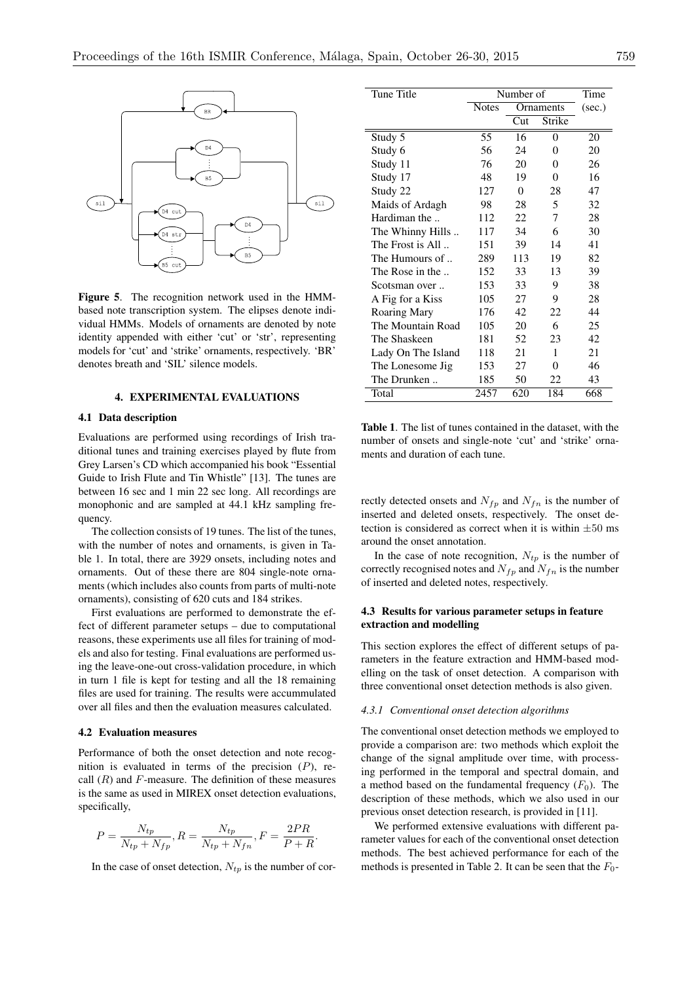

Figure 5. The recognition network used in the HMMbased note transcription system. The elipses denote individual HMMs. Models of ornaments are denoted by note identity appended with either 'cut' or 'str', representing models for 'cut' and 'strike' ornaments, respectively. 'BR' denotes breath and 'SIL' silence models.

# 4. EXPERIMENTAL EVALUATIONS

#### 4.1 Data description

Evaluations are performed using recordings of Irish traditional tunes and training exercises played by flute from Grey Larsen's CD which accompanied his book "Essential Guide to Irish Flute and Tin Whistle" [13]. The tunes are between 16 sec and 1 min 22 sec long. All recordings are monophonic and are sampled at 44.1 kHz sampling frequency.

The collection consists of 19 tunes. The list of the tunes, with the number of notes and ornaments, is given in Table 1. In total, there are 3929 onsets, including notes and ornaments. Out of these there are 804 single-note ornaments (which includes also counts from parts of multi-note ornaments), consisting of 620 cuts and 184 strikes.

First evaluations are performed to demonstrate the effect of different parameter setups – due to computational reasons, these experiments use all files for training of models and also for testing. Final evaluations are performed using the leave-one-out cross-validation procedure, in which in turn 1 file is kept for testing and all the 18 remaining files are used for training. The results were accummulated over all files and then the evaluation measures calculated.

### 4.2 Evaluation measures

Performance of both the onset detection and note recognition is evaluated in terms of the precision (*P*), recall (*R*) and *F*-measure. The definition of these measures is the same as used in MIREX onset detection evaluations, specifically,

$$
P = \frac{N_{tp}}{N_{tp} + N_{fp}}, R = \frac{N_{tp}}{N_{tp} + N_{fn}}, F = \frac{2PR}{P + R}.
$$

In the case of onset detection,  $N_{tp}$  is the number of cor-

| Tune Title          | Number of    |           |          | Time   |
|---------------------|--------------|-----------|----------|--------|
|                     | <b>Notes</b> | Ornaments |          | (sec.) |
|                     |              | Cut       | Strike   |        |
| Study 5             | 55           | 16        | 0        | 20     |
| Study 6             | 56           | 24        | 0        | 20     |
| Study 11            | 76           | 20        | 0        | 26     |
| Study 17            | 48           | 19        | $\theta$ | 16     |
| Study 22            | 127          | $\Omega$  | 28       | 47     |
| Maids of Ardagh     | 98           | 28        | 5        | 32     |
| Hardiman the        | 112          | 22        | 7        | 28     |
| The Whinny Hills    | 117          | 34        | 6        | 30     |
| The Frost is All    | 151          | 39        | 14       | 41     |
| The Humours of      | 289          | 113       | 19       | 82     |
| The Rose in the     | 152          | 33        | 13       | 39     |
| Scotsman over       | 153          | 33        | 9        | 38     |
| A Fig for a Kiss    | 105          | 27        | 9        | 28     |
| <b>Roaring Mary</b> | 176          | 42        | 22       | 44     |
| The Mountain Road   | 105          | 20        | 6        | 25     |
| The Shaskeen        | 181          | 52        | 23       | 42     |
| Lady On The Island  | 118          | 21        | 1        | 21     |
| The Lonesome Jig    | 153          | 27        | 0        | 46     |
| The Drunken         | 185          | 50        | 22       | 43     |
| Total               | 2457         | 620       | 184      | 668    |

Table 1. The list of tunes contained in the dataset, with the number of onsets and single-note 'cut' and 'strike' ornaments and duration of each tune.

rectly detected onsets and  $N_{fp}$  and  $N_{fn}$  is the number of inserted and deleted onsets, respectively. The onset detection is considered as correct when it is within *±*50 ms around the onset annotation.

In the case of note recognition,  $N_{tp}$  is the number of correctly recognised notes and  $N_{fp}$  and  $N_{fn}$  is the number of inserted and deleted notes, respectively.

### 4.3 Results for various parameter setups in feature extraction and modelling

This section explores the effect of different setups of parameters in the feature extraction and HMM-based modelling on the task of onset detection. A comparison with three conventional onset detection methods is also given.

#### *4.3.1 Conventional onset detection algorithms*

The conventional onset detection methods we employed to provide a comparison are: two methods which exploit the change of the signal amplitude over time, with processing performed in the temporal and spectral domain, and a method based on the fundamental frequency  $(F_0)$ . The description of these methods, which we also used in our previous onset detection research, is provided in [11].

We performed extensive evaluations with different parameter values for each of the conventional onset detection methods. The best achieved performance for each of the methods is presented in Table 2. It can be seen that the  $F_0$ -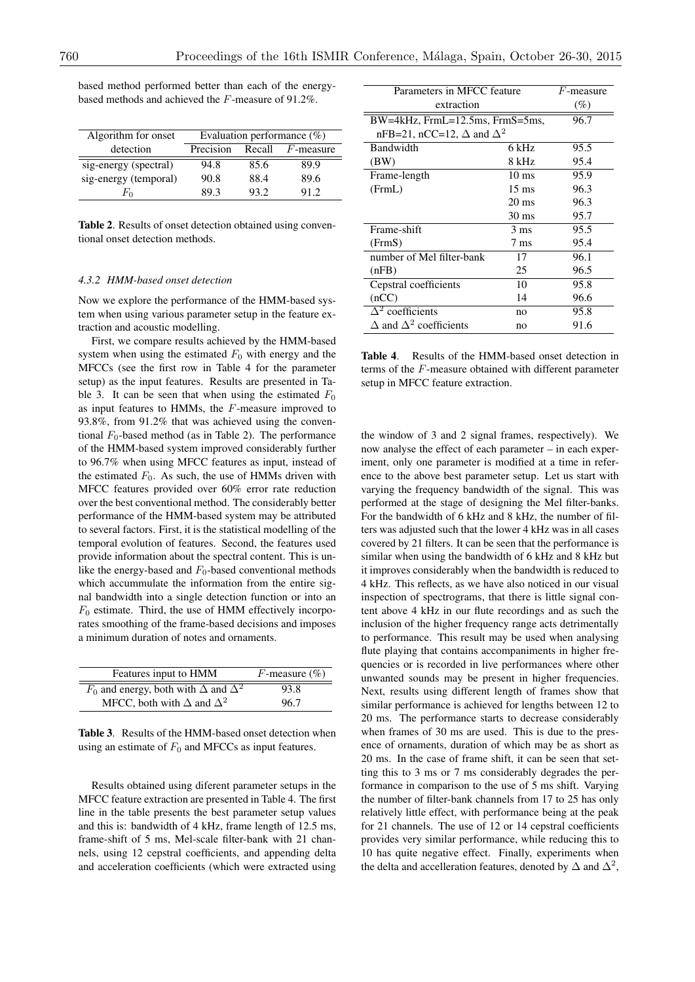| Algorithm for onset   | Evaluation performance $(\%)$ |        |              |
|-----------------------|-------------------------------|--------|--------------|
| detection             | Precision                     | Recall | $F$ -measure |
| sig-energy (spectral) | 94.8                          | 85.6   | 89.9         |
| sig-energy (temporal) | 90.8                          | 88.4   | 89.6         |
| Fη                    | 89.3                          | 93.2   | 91.2         |

based method performed better than each of the energybased methods and achieved the *F*-measure of 91.2%.

Table 2. Results of onset detection obtained using conventional onset detection methods.

#### *4.3.2 HMM-based onset detection*

Now we explore the performance of the HMM-based system when using various parameter setup in the feature extraction and acoustic modelling.

First, we compare results achieved by the HMM-based system when using the estimated  $F_0$  with energy and the MFCCs (see the first row in Table 4 for the parameter setup) as the input features. Results are presented in Table 3. It can be seen that when using the estimated  $F_0$ as input features to HMMs, the *F*-measure improved to 93.8%, from 91.2% that was achieved using the conventional  $F_0$ -based method (as in Table 2). The performance of the HMM-based system improved considerably further to 96.7% when using MFCC features as input, instead of the estimated  $F_0$ . As such, the use of HMMs driven with MFCC features provided over 60% error rate reduction over the best conventional method. The considerably better performance of the HMM-based system may be attributed to several factors. First, it is the statistical modelling of the temporal evolution of features. Second, the features used provide information about the spectral content. This is unlike the energy-based and  $F_0$ -based conventional methods which accummulate the information from the entire signal bandwidth into a single detection function or into an  $F_0$  estimate. Third, the use of HMM effectively incorporates smoothing of the frame-based decisions and imposes a minimum duration of notes and ornaments.

| Features input to HMM                               | F-measure $(\%)$ |
|-----------------------------------------------------|------------------|
| $F_0$ and energy, both with $\Delta$ and $\Delta^2$ | 93.8             |
| MFCC, both with $\Delta$ and $\Delta^2$             | 96.7             |

Table 3. Results of the HMM-based onset detection when using an estimate of  $F_0$  and MFCCs as input features.

Results obtained using diferent parameter setups in the MFCC feature extraction are presented in Table 4. The first line in the table presents the best parameter setup values and this is: bandwidth of 4 kHz, frame length of 12.5 ms, frame-shift of 5 ms, Mel-scale filter-bank with 21 channels, using 12 cepstral coefficients, and appending delta and acceleration coefficients (which were extracted using

| Parameters in MFCC feature              |                 | $F$ -measure |
|-----------------------------------------|-----------------|--------------|
| extraction                              |                 | $(\%)$       |
| $BW=4kHz$ , FrmL=12.5ms, FrmS=5ms,      |                 | 96.7         |
| nFB=21, nCC=12, $\Delta$ and $\Delta^2$ |                 |              |
| Bandwidth                               | 6 kHz           | 95.5         |
| (BW)                                    | 8 kHz           | 95.4         |
| Frame-length                            | $10 \text{ ms}$ | 95.9         |
| (FrmL)                                  | $15 \text{ ms}$ | 96.3         |
|                                         | $20 \text{ ms}$ | 96.3         |
|                                         | $30 \text{ ms}$ | 95.7         |
| Frame-shift                             | 3 ms            | 95.5         |
| (FrmS)                                  | $7 \text{ ms}$  | 95.4         |
| number of Mel filter-bank               | 17              | 96.1         |
| (nFB)                                   | 25              | 96.5         |
| Cepstral coefficients                   | 10              | 95.8         |
| (nCC)                                   | 14              | 96.6         |
| $\Delta^2$ coefficients                 | no              | 95.8         |
| $\Delta$ and $\Delta^2$ coefficients    | no              | 91.6         |

Table 4. Results of the HMM-based onset detection in terms of the *F*-measure obtained with different parameter setup in MFCC feature extraction.

the window of 3 and 2 signal frames, respectively). We now analyse the effect of each parameter – in each experiment, only one parameter is modified at a time in reference to the above best parameter setup. Let us start with varying the frequency bandwidth of the signal. This was performed at the stage of designing the Mel filter-banks. For the bandwidth of 6 kHz and 8 kHz, the number of filters was adjusted such that the lower 4 kHz was in all cases covered by 21 filters. It can be seen that the performance is similar when using the bandwidth of 6 kHz and 8 kHz but it improves considerably when the bandwidth is reduced to 4 kHz. This reflects, as we have also noticed in our visual inspection of spectrograms, that there is little signal content above 4 kHz in our flute recordings and as such the inclusion of the higher frequency range acts detrimentally to performance. This result may be used when analysing flute playing that contains accompaniments in higher frequencies or is recorded in live performances where other unwanted sounds may be present in higher frequencies. Next, results using different length of frames show that similar performance is achieved for lengths between 12 to 20 ms. The performance starts to decrease considerably when frames of 30 ms are used. This is due to the presence of ornaments, duration of which may be as short as 20 ms. In the case of frame shift, it can be seen that setting this to 3 ms or 7 ms considerably degrades the performance in comparison to the use of 5 ms shift. Varying the number of filter-bank channels from 17 to 25 has only relatively little effect, with performance being at the peak for 21 channels. The use of 12 or 14 cepstral coefficients provides very similar performance, while reducing this to 10 has quite negative effect. Finally, experiments when the delta and accelleration features, denoted by  $\Delta$  and  $\Delta^2$ ,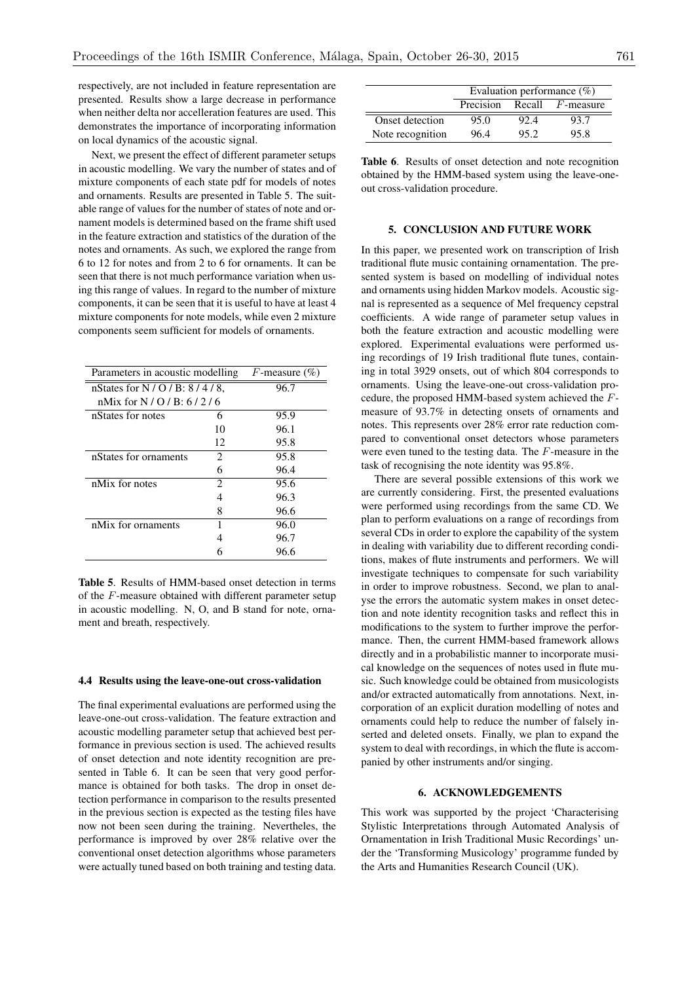respectively, are not included in feature representation are presented. Results show a large decrease in performance when neither delta nor accelleration features are used. This demonstrates the importance of incorporating information on local dynamics of the acoustic signal.

Next, we present the effect of different parameter setups in acoustic modelling. We vary the number of states and of mixture components of each state pdf for models of notes and ornaments. Results are presented in Table 5. The suitable range of values for the number of states of note and ornament models is determined based on the frame shift used in the feature extraction and statistics of the duration of the notes and ornaments. As such, we explored the range from 6 to 12 for notes and from 2 to 6 for ornaments. It can be seen that there is not much performance variation when using this range of values. In regard to the number of mixture components, it can be seen that it is useful to have at least 4 mixture components for note models, while even 2 mixture components seem sufficient for models of ornaments.

| Parameters in acoustic modelling |    | F-measure $(\%)$ |
|----------------------------------|----|------------------|
| nStates for N / O / B: $8/4/8$ , |    | 96.7             |
| nMix for $N / Q / B$ : 6/2/6     |    |                  |
| nStates for notes                | 6  | 95.9             |
|                                  | 10 | 96.1             |
|                                  | 12 | 95.8             |
| nStates for ornaments            | 2. | 95.8             |
|                                  | 6  | 96.4             |
| nMix for notes                   | 2  | 95.6             |
|                                  | 4  | 96.3             |
|                                  | 8  | 96.6             |
| nMix for ornaments               | 1  | 96.0             |
|                                  |    | 96.7             |
|                                  |    | 96.6             |

Table 5. Results of HMM-based onset detection in terms of the *F*-measure obtained with different parameter setup in acoustic modelling. N, O, and B stand for note, ornament and breath, respectively.

### 4.4 Results using the leave-one-out cross-validation

The final experimental evaluations are performed using the leave-one-out cross-validation. The feature extraction and acoustic modelling parameter setup that achieved best performance in previous section is used. The achieved results of onset detection and note identity recognition are presented in Table 6. It can be seen that very good performance is obtained for both tasks. The drop in onset detection performance in comparison to the results presented in the previous section is expected as the testing files have now not been seen during the training. Nevertheles, the performance is improved by over 28% relative over the conventional onset detection algorithms whose parameters were actually tuned based on both training and testing data.

|                  | Evaluation performance $(\%)$ |      |                          |
|------------------|-------------------------------|------|--------------------------|
|                  | Precision                     |      | Recall <i>F</i> -measure |
| Onset detection  | 95.0                          | 92.4 | 93.7                     |
| Note recognition | 96.4                          | 95.2 | 95.8                     |

# 5. CONCLUSION AND FUTURE WORK

In this paper, we presented work on transcription of Irish traditional flute music containing ornamentation. The presented system is based on modelling of individual notes and ornaments using hidden Markov models. Acoustic signal is represented as a sequence of Mel frequency cepstral coefficients. A wide range of parameter setup values in both the feature extraction and acoustic modelling were explored. Experimental evaluations were performed using recordings of 19 Irish traditional flute tunes, containing in total 3929 onsets, out of which 804 corresponds to ornaments. Using the leave-one-out cross-validation procedure, the proposed HMM-based system achieved the *F*measure of 93.7% in detecting onsets of ornaments and notes. This represents over 28% error rate reduction compared to conventional onset detectors whose parameters were even tuned to the testing data. The *F*-measure in the task of recognising the note identity was 95.8%.

There are several possible extensions of this work we are currently considering. First, the presented evaluations were performed using recordings from the same CD. We plan to perform evaluations on a range of recordings from several CDs in order to explore the capability of the system in dealing with variability due to different recording conditions, makes of flute instruments and performers. We will investigate techniques to compensate for such variability in order to improve robustness. Second, we plan to analyse the errors the automatic system makes in onset detection and note identity recognition tasks and reflect this in modifications to the system to further improve the performance. Then, the current HMM-based framework allows directly and in a probabilistic manner to incorporate musical knowledge on the sequences of notes used in flute music. Such knowledge could be obtained from musicologists and/or extracted automatically from annotations. Next, incorporation of an explicit duration modelling of notes and ornaments could help to reduce the number of falsely inserted and deleted onsets. Finally, we plan to expand the system to deal with recordings, in which the flute is accompanied by other instruments and/or singing.

#### 6. ACKNOWLEDGEMENTS

This work was supported by the project 'Characterising Stylistic Interpretations through Automated Analysis of Ornamentation in Irish Traditional Music Recordings' under the 'Transforming Musicology' programme funded by the Arts and Humanities Research Council (UK).